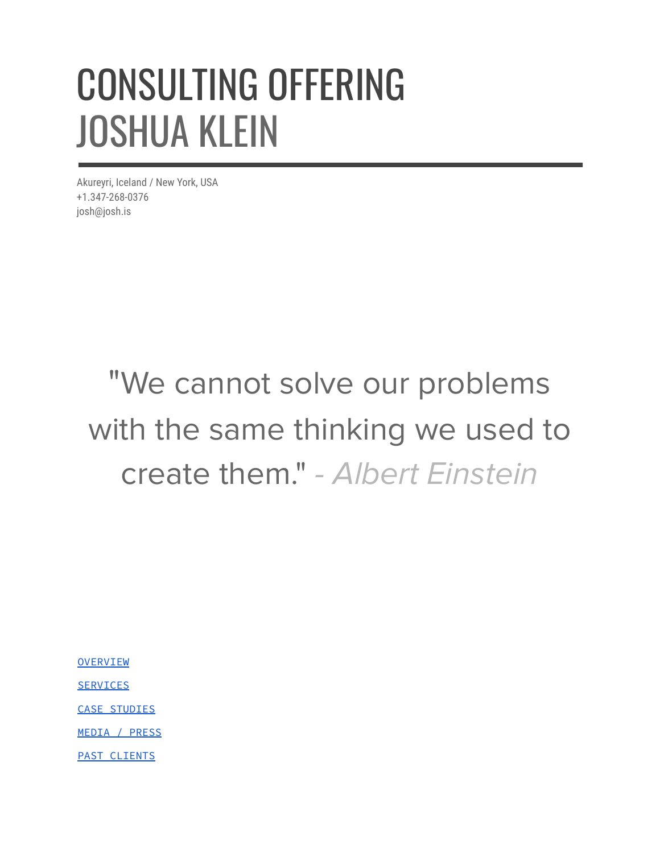# CONSULTING OFFERING JOSHUA KLEIN

Akureyri, Iceland / New York, USA +1.347-268-0376 josh@josh.is

## "We cannot solve our problems with the same thinking we used to create them." - Albert Einstein

**[OVERVIEW](#page-1-0)** 

**[SERVICES](#page-2-0)** 

CASE [STUDIES](#page-3-0)

MEDIA / [PRESS](#page-4-0)

PAST [CLIENTS](#page-5-0)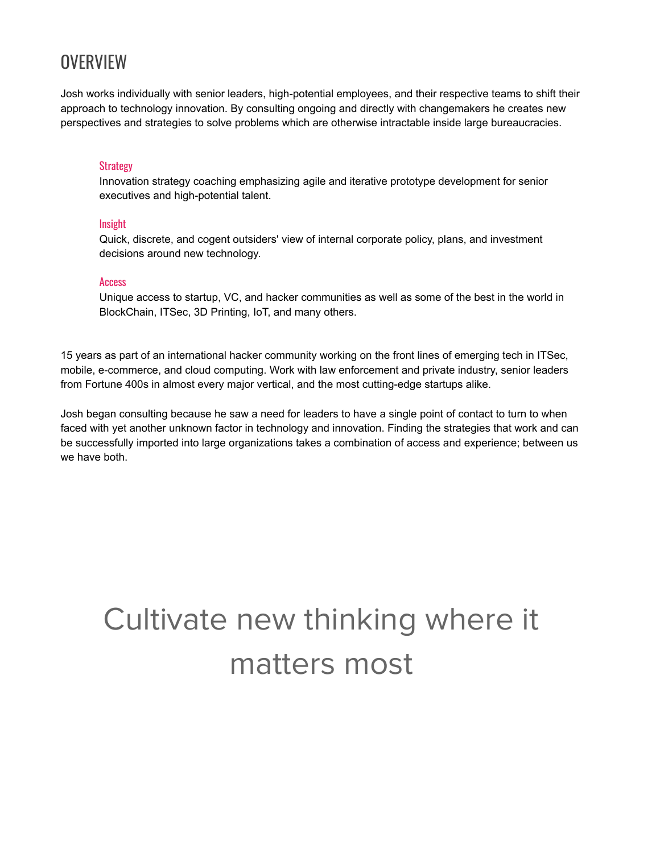## <span id="page-1-0"></span>**OVERVIEW**

Josh works individually with senior leaders, high-potential employees, and their respective teams to shift their approach to technology innovation. By consulting ongoing and directly with changemakers he creates new perspectives and strategies to solve problems which are otherwise intractable inside large bureaucracies.

#### **Strategy**

Innovation strategy coaching emphasizing agile and iterative prototype development for senior executives and high-potential talent.

#### Insight

Quick, discrete, and cogent outsiders' view of internal corporate policy, plans, and investment decisions around new technology.

#### **Access**

Unique access to startup, VC, and hacker communities as well as some of the best in the world in BlockChain, ITSec, 3D Printing, IoT, and many others.

15 years as part of an international hacker community working on the front lines of emerging tech in ITSec, mobile, e-commerce, and cloud computing. Work with law enforcement and private industry, senior leaders from Fortune 400s in almost every major vertical, and the most cutting-edge startups alike.

Josh began consulting because he saw a need for leaders to have a single point of contact to turn to when faced with yet another unknown factor in technology and innovation. Finding the strategies that work and can be successfully imported into large organizations takes a combination of access and experience; between us we have both.

## Cultivate new thinking where it matters most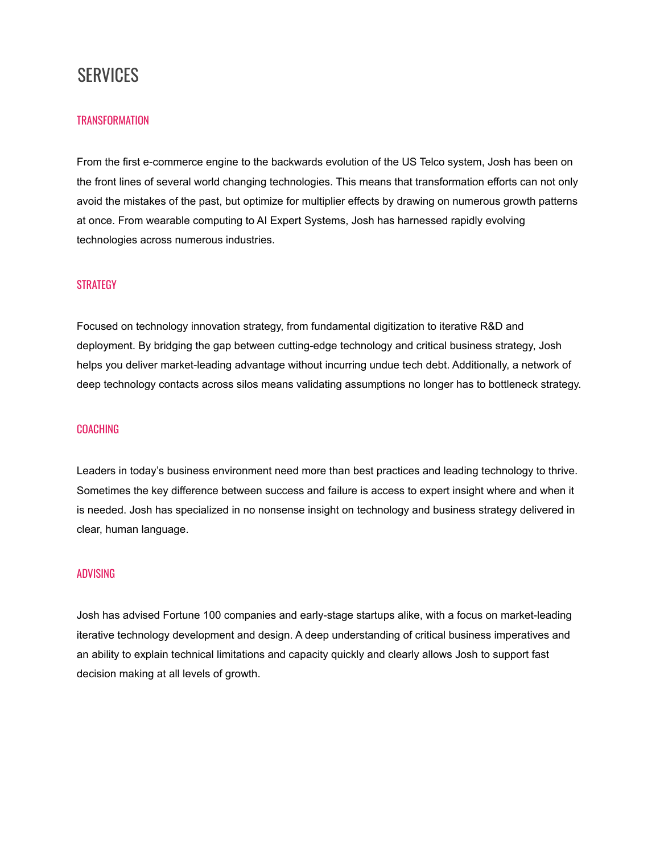### <span id="page-2-0"></span>**SERVICES**

#### **TRANSFORMATION**

From the first e-commerce engine to the backwards evolution of the US Telco system, Josh has been on the front lines of several world changing technologies. This means that transformation efforts can not only avoid the mistakes of the past, but optimize for multiplier effects by drawing on numerous growth patterns at once. From wearable computing to AI Expert Systems, Josh has harnessed rapidly evolving technologies across numerous industries.

#### **STRATEGY**

Focused on technology innovation strategy, from fundamental digitization to iterative R&D and deployment. By bridging the gap between cutting-edge technology and critical business strategy, Josh helps you deliver market-leading advantage without incurring undue tech debt. Additionally, a network of deep technology contacts across silos means validating assumptions no longer has to bottleneck strategy.

#### COACHING

Leaders in today's business environment need more than best practices and leading technology to thrive. Sometimes the key difference between success and failure is access to expert insight where and when it is needed. Josh has specialized in no nonsense insight on technology and business strategy delivered in clear, human language.

#### ADVISING

Josh has advised Fortune 100 companies and early-stage startups alike, with a focus on market-leading iterative technology development and design. A deep understanding of critical business imperatives and an ability to explain technical limitations and capacity quickly and clearly allows Josh to support fast decision making at all levels of growth.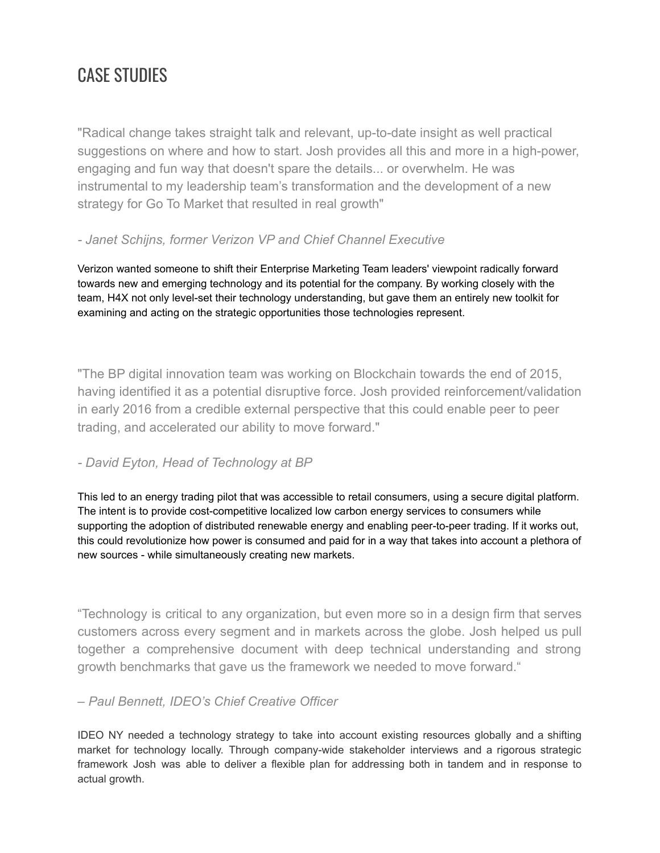## <span id="page-3-0"></span>CASE STUDIES

"Radical change takes straight talk and relevant, up-to-date insight as well practical suggestions on where and how to start. Josh provides all this and more in a high-power, engaging and fun way that doesn't spare the details... or overwhelm. He was instrumental to my leadership team's transformation and the development of a new strategy for Go To Market that resulted in real growth"

#### *- Janet Schijns, former Verizon VP and Chief Channel Executive*

Verizon wanted someone to shift their Enterprise Marketing Team leaders' viewpoint radically forward towards new and emerging technology and its potential for the company. By working closely with the team, H4X not only level-set their technology understanding, but gave them an entirely new toolkit for examining and acting on the strategic opportunities those technologies represent.

"The BP digital innovation team was working on Blockchain towards the end of 2015, having identified it as a potential disruptive force. Josh provided reinforcement/validation in early 2016 from a credible external perspective that this could enable peer to peer trading, and accelerated our ability to move forward."

#### *- David Eyton, Head of Technology at BP*

This led to an energy trading pilot that was accessible to retail consumers, using a secure digital platform. The intent is to provide cost-competitive localized low carbon energy services to consumers while supporting the adoption of distributed renewable energy and enabling peer-to-peer trading. If it works out, this could revolutionize how power is consumed and paid for in a way that takes into account a plethora of new sources - while simultaneously creating new markets.

"Technology is critical to any organization, but even more so in a design firm that serves customers across every segment and in markets across the globe. Josh helped us pull together a comprehensive document with deep technical understanding and strong growth benchmarks that gave us the framework we needed to move forward."

#### *– Paul Bennett, IDEO's Chief Creative Officer*

IDEO NY needed a technology strategy to take into account existing resources globally and a shifting market for technology locally. Through company-wide stakeholder interviews and a rigorous strategic framework Josh was able to deliver a flexible plan for addressing both in tandem and in response to actual growth.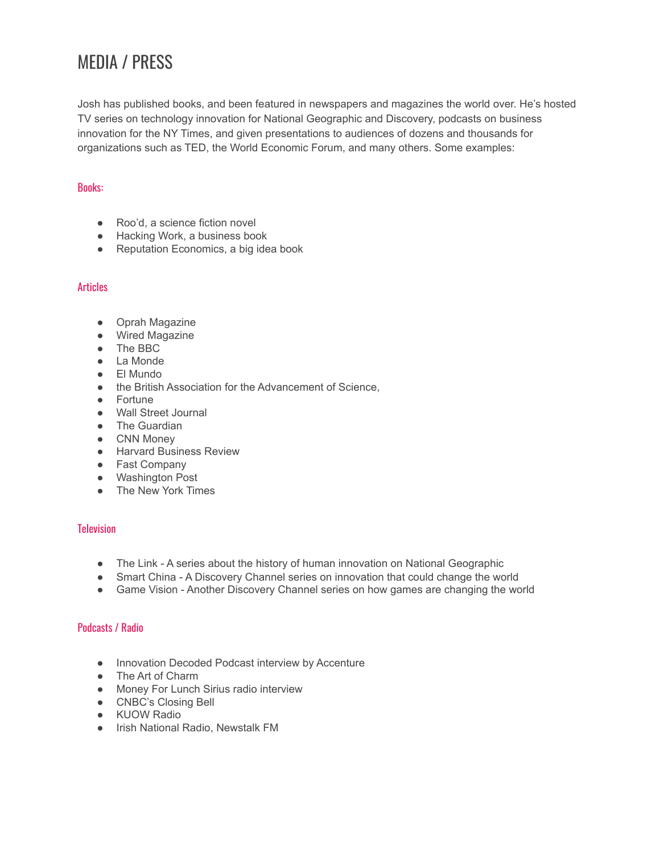## <span id="page-4-0"></span>MEDIA / PRESS

Josh has published books, and been featured in newspapers and magazines the world over. He's hosted TV series on technology innovation for National Geographic and Discovery, podcasts on business innovation for the NY Times, and given presentations to audiences of dozens and thousands for organizations such as TED, the World Economic Forum, and many others. Some examples:

#### Books:

- Roo'd, a science fiction novel
- Hacking Work, a business book
- Reputation Economics, a big idea book

#### **Articles**

- Oprah Magazine
- Wired Magazine
- The BBC
- La Monde
- El Mundo
- the British Association for the Advancement of Science,
- Fortune
- Wall Street Journal
- **•** The Guardian
- CNN Money
- Harvard Business Review
- Fast Company
- Washington Post
- The New York Times

#### **Television**

- The Link A series about the history of human innovation on National Geographic
- Smart China A Discovery Channel series on innovation that could change the world
- Game Vision Another Discovery Channel series on how games are changing the world

#### Podcasts / Radio

- Innovation Decoded Podcast interview by Accenture
- The Art of Charm
- Money For Lunch Sirius radio interview
- CNBC's Closing Bell
- KUOW Radio
- Irish National Radio, Newstalk FM